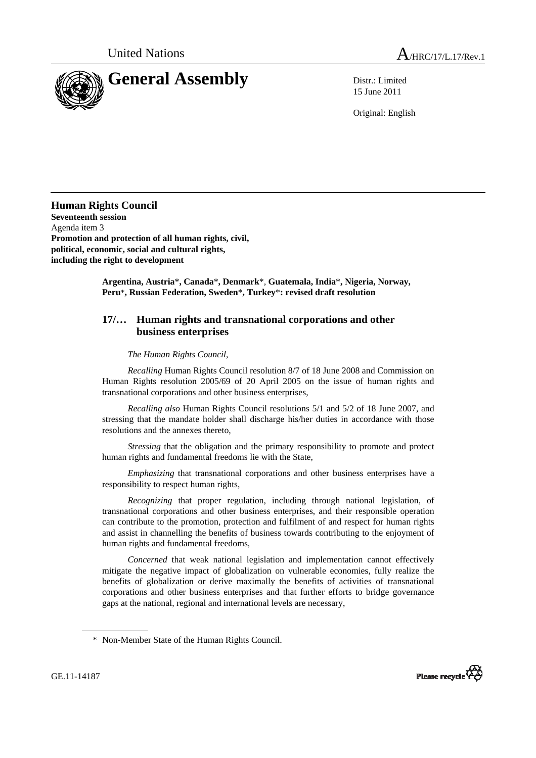



15 June 2011

Original: English

**Human Rights Council Seventeenth session**  Agenda item 3 **Promotion and protection of all human rights, civil, political, economic, social and cultural rights, including the right to development** 

> **Argentina, Austria**\***, Canada**\***, Denmark**\*, **Guatemala, India**\***, Nigeria, Norway, Peru**\***, Russian Federation, Sweden**\***, Turkey**\***: revised draft resolution**

## **17/… Human rights and transnational corporations and other business enterprises**

 *The Human Rights Council*,

 *Recalling* Human Rights Council resolution 8/7 of 18 June 2008 and Commission on Human Rights resolution 2005/69 of 20 April 2005 on the issue of human rights and transnational corporations and other business enterprises,

 *Recalling also* Human Rights Council resolutions 5/1 and 5/2 of 18 June 2007, and stressing that the mandate holder shall discharge his/her duties in accordance with those resolutions and the annexes thereto,

 *Stressing* that the obligation and the primary responsibility to promote and protect human rights and fundamental freedoms lie with the State,

 *Emphasizing* that transnational corporations and other business enterprises have a responsibility to respect human rights,

 *Recognizing* that proper regulation, including through national legislation, of transnational corporations and other business enterprises, and their responsible operation can contribute to the promotion, protection and fulfilment of and respect for human rights and assist in channelling the benefits of business towards contributing to the enjoyment of human rights and fundamental freedoms,

 *Concerned* that weak national legislation and implementation cannot effectively mitigate the negative impact of globalization on vulnerable economies, fully realize the benefits of globalization or derive maximally the benefits of activities of transnational corporations and other business enterprises and that further efforts to bridge governance gaps at the national, regional and international levels are necessary,



 <sup>\*</sup> Non-Member State of the Human Rights Council.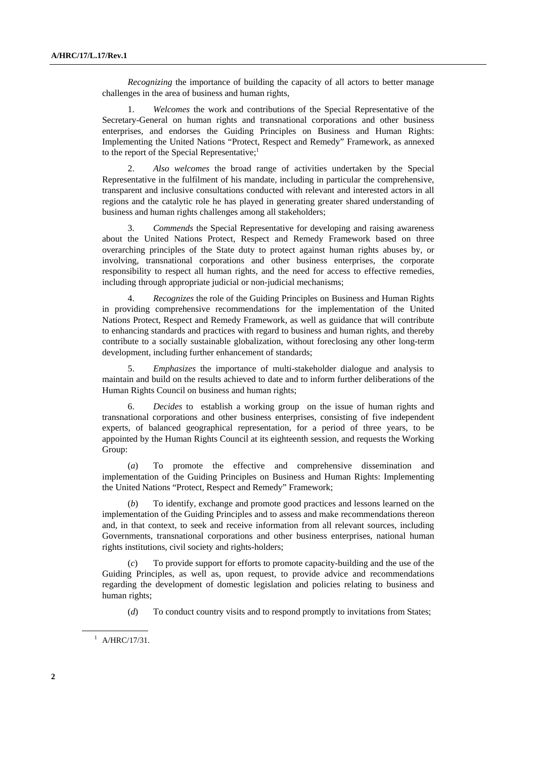*Recognizing* the importance of building the capacity of all actors to better manage challenges in the area of business and human rights,

 1. *Welcomes* the work and contributions of the Special Representative of the Secretary-General on human rights and transnational corporations and other business enterprises, and endorses the Guiding Principles on Business and Human Rights: Implementing the United Nations "Protect, Respect and Remedy" Framework, as annexed to the report of the Special Representative; $<sup>1</sup>$ </sup>

 2. *Also welcomes* the broad range of activities undertaken by the Special Representative in the fulfilment of his mandate, including in particular the comprehensive, transparent and inclusive consultations conducted with relevant and interested actors in all regions and the catalytic role he has played in generating greater shared understanding of business and human rights challenges among all stakeholders;

 3. *Commends* the Special Representative for developing and raising awareness about the United Nations Protect, Respect and Remedy Framework based on three overarching principles of the State duty to protect against human rights abuses by, or involving, transnational corporations and other business enterprises, the corporate responsibility to respect all human rights, and the need for access to effective remedies, including through appropriate judicial or non-judicial mechanisms;

 4. *Recognizes* the role of the Guiding Principles on Business and Human Rights in providing comprehensive recommendations for the implementation of the United Nations Protect, Respect and Remedy Framework, as well as guidance that will contribute to enhancing standards and practices with regard to business and human rights, and thereby contribute to a socially sustainable globalization, without foreclosing any other long-term development, including further enhancement of standards;

 5. *Emphasizes* the importance of multi-stakeholder dialogue and analysis to maintain and build on the results achieved to date and to inform further deliberations of the Human Rights Council on business and human rights;

 6. *Decides* to establish a working group on the issue of human rights and transnational corporations and other business enterprises, consisting of five independent experts, of balanced geographical representation, for a period of three years, to be appointed by the Human Rights Council at its eighteenth session, and requests the Working Group:

 (*a*) To promote the effective and comprehensive dissemination and implementation of the Guiding Principles on Business and Human Rights: Implementing the United Nations "Protect, Respect and Remedy" Framework;

 (*b*) To identify, exchange and promote good practices and lessons learned on the implementation of the Guiding Principles and to assess and make recommendations thereon and, in that context, to seek and receive information from all relevant sources, including Governments, transnational corporations and other business enterprises, national human rights institutions, civil society and rights-holders;

To provide support for efforts to promote capacity-building and the use of the Guiding Principles, as well as, upon request, to provide advice and recommendations regarding the development of domestic legislation and policies relating to business and human rights;

(*d*) To conduct country visits and to respond promptly to invitations from States;

 $^{1}$  A/HRC/17/31.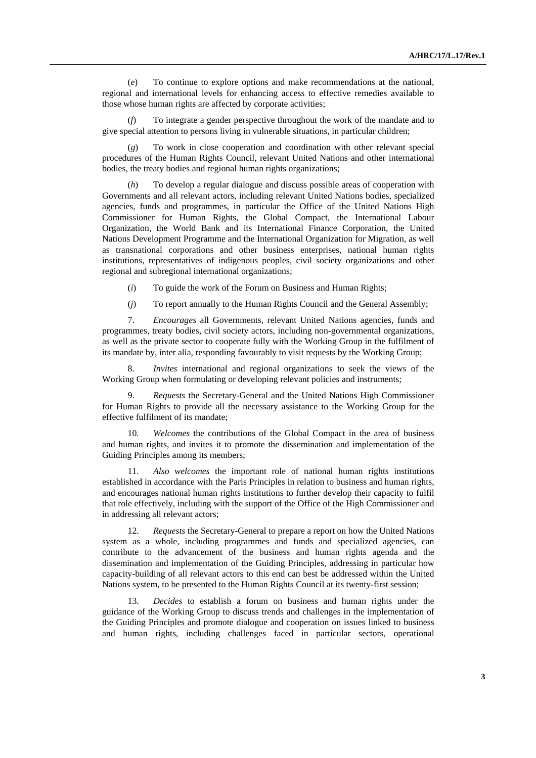(*e*) To continue to explore options and make recommendations at the national, regional and international levels for enhancing access to effective remedies available to those whose human rights are affected by corporate activities;

To integrate a gender perspective throughout the work of the mandate and to give special attention to persons living in vulnerable situations, in particular children;

 (*g*) To work in close cooperation and coordination with other relevant special procedures of the Human Rights Council, relevant United Nations and other international bodies, the treaty bodies and regional human rights organizations;

 (*h*) To develop a regular dialogue and discuss possible areas of cooperation with Governments and all relevant actors, including relevant United Nations bodies, specialized agencies, funds and programmes, in particular the Office of the United Nations High Commissioner for Human Rights, the Global Compact, the International Labour Organization, the World Bank and its International Finance Corporation, the United Nations Development Programme and the International Organization for Migration, as well as transnational corporations and other business enterprises, national human rights institutions, representatives of indigenous peoples, civil society organizations and other regional and subregional international organizations;

(*i*) To guide the work of the Forum on Business and Human Rights;

(*j*) To report annually to the Human Rights Council and the General Assembly;

 7. *Encourages* all Governments, relevant United Nations agencies, funds and programmes, treaty bodies, civil society actors, including non-governmental organizations, as well as the private sector to cooperate fully with the Working Group in the fulfilment of its mandate by, inter alia, responding favourably to visit requests by the Working Group;

 8. *Invites* international and regional organizations to seek the views of the Working Group when formulating or developing relevant policies and instruments;

 9. *Requests* the Secretary-General and the United Nations High Commissioner for Human Rights to provide all the necessary assistance to the Working Group for the effective fulfilment of its mandate;

 10*. Welcomes* the contributions of the Global Compact in the area of business and human rights, and invites it to promote the dissemination and implementation of the Guiding Principles among its members;

 11. *Also welcomes* the important role of national human rights institutions established in accordance with the Paris Principles in relation to business and human rights, and encourages national human rights institutions to further develop their capacity to fulfil that role effectively, including with the support of the Office of the High Commissioner and in addressing all relevant actors;

 12. *Requests* the Secretary-General to prepare a report on how the United Nations system as a whole, including programmes and funds and specialized agencies, can contribute to the advancement of the business and human rights agenda and the dissemination and implementation of the Guiding Principles, addressing in particular how capacity-building of all relevant actors to this end can best be addressed within the United Nations system, to be presented to the Human Rights Council at its twenty-first session;

 13. *Decides* to establish a forum on business and human rights under the guidance of the Working Group to discuss trends and challenges in the implementation of the Guiding Principles and promote dialogue and cooperation on issues linked to business and human rights, including challenges faced in particular sectors, operational